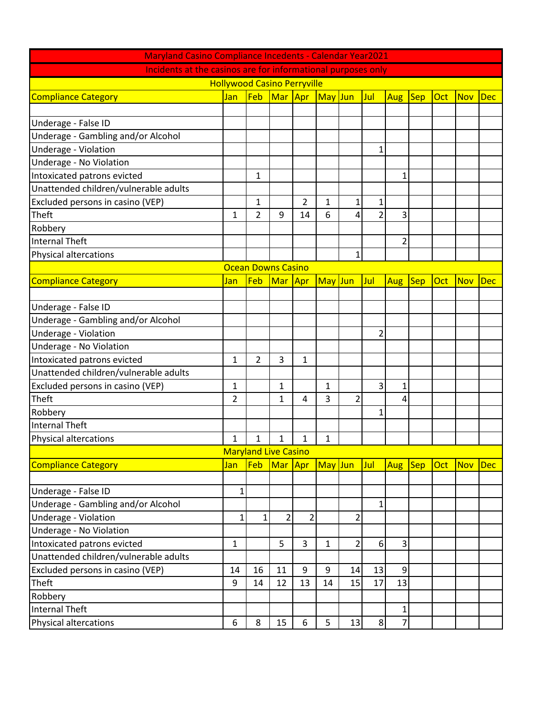| <b>Maryland Casino Compliance Incedents - Calendar Year2021</b> |              |                |                |     |         |                |                |                |            |     |            |            |
|-----------------------------------------------------------------|--------------|----------------|----------------|-----|---------|----------------|----------------|----------------|------------|-----|------------|------------|
| Incidents at the casinos are for informational purposes only    |              |                |                |     |         |                |                |                |            |     |            |            |
| <b>Hollywood Casino Perryville</b>                              |              |                |                |     |         |                |                |                |            |     |            |            |
| <b>Compliance Category</b>                                      | Jan          | Feb            | Mar Apr        |     | May Jun |                | Jul            | Aug            | <b>Sep</b> | Oct | <b>Nov</b> | <b>Dec</b> |
|                                                                 |              |                |                |     |         |                |                |                |            |     |            |            |
| Underage - False ID                                             |              |                |                |     |         |                |                |                |            |     |            |            |
| Underage - Gambling and/or Alcohol                              |              |                |                |     |         |                |                |                |            |     |            |            |
| Underage - Violation                                            |              |                |                |     |         |                | 1              |                |            |     |            |            |
| Underage - No Violation                                         |              |                |                |     |         |                |                |                |            |     |            |            |
| Intoxicated patrons evicted                                     |              | 1              |                |     |         |                |                | 1              |            |     |            |            |
| Unattended children/vulnerable adults                           |              |                |                |     |         |                |                |                |            |     |            |            |
| Excluded persons in casino (VEP)                                |              | 1              |                | 2   | 1       | 1              | 1              |                |            |     |            |            |
| Theft                                                           | $\mathbf{1}$ | $\overline{2}$ | 9              | 14  | 6       | 4              | $\overline{2}$ | $\overline{3}$ |            |     |            |            |
| Robbery                                                         |              |                |                |     |         |                |                |                |            |     |            |            |
| Internal Theft                                                  |              |                |                |     |         |                |                | $\overline{2}$ |            |     |            |            |
| Physical altercations                                           |              |                |                |     |         | 1              |                |                |            |     |            |            |
| <b>Ocean Downs Casino</b>                                       |              |                |                |     |         |                |                |                |            |     |            |            |
| <b>Compliance Category</b>                                      | Jan          | Feb            | Mar            | Apr | May Jun |                | Jul            | Aug            | <b>Sep</b> | Oct | <b>Nov</b> | <b>Dec</b> |
|                                                                 |              |                |                |     |         |                |                |                |            |     |            |            |
| Underage - False ID                                             |              |                |                |     |         |                |                |                |            |     |            |            |
| Underage - Gambling and/or Alcohol                              |              |                |                |     |         |                |                |                |            |     |            |            |
| Underage - Violation                                            |              |                |                |     |         |                | $\overline{2}$ |                |            |     |            |            |
| Underage - No Violation                                         |              |                |                |     |         |                |                |                |            |     |            |            |
| Intoxicated patrons evicted                                     | 1            | 2              | 3              | 1   |         |                |                |                |            |     |            |            |
| Unattended children/vulnerable adults                           |              |                |                |     |         |                |                |                |            |     |            |            |
| Excluded persons in casino (VEP)                                | 1            |                | $\mathbf{1}$   |     | 1       |                | 3              | 1              |            |     |            |            |
| Theft                                                           | 2            |                | 1              | 4   | 3       | $\overline{2}$ |                | 4              |            |     |            |            |
| Robbery                                                         |              |                |                |     |         |                | $\mathbf{1}$   |                |            |     |            |            |
| Internal Theft                                                  |              |                |                |     |         |                |                |                |            |     |            |            |
| Physical altercations                                           | $\mathbf{1}$ | 1              | 1              | 1   | 1       |                |                |                |            |     |            |            |
| <b>Maryland Live Casino</b>                                     |              |                |                |     |         |                |                |                |            |     |            |            |
| <b>Compliance Category</b>                                      | Jan          | Feb            | Mar            | Apr | May Jun |                | Jul            | <b>Aug</b>     | $ $ Sep    | Oct | <b>Nov</b> | <b>Dec</b> |
|                                                                 |              |                |                |     |         |                |                |                |            |     |            |            |
| Underage - False ID                                             | 1            |                |                |     |         |                |                |                |            |     |            |            |
| Underage - Gambling and/or Alcohol                              |              |                |                |     |         |                | $\mathbf{1}$   |                |            |     |            |            |
| Underage - Violation                                            | 1            | 1              | $\overline{2}$ | 2   |         | $\overline{2}$ |                |                |            |     |            |            |
| Underage - No Violation                                         |              |                |                |     |         |                |                |                |            |     |            |            |
| Intoxicated patrons evicted                                     | 1            |                | 5              | 3   | 1       | 2              | 6              | $\overline{3}$ |            |     |            |            |
| Unattended children/vulnerable adults                           |              |                |                |     |         |                |                |                |            |     |            |            |
| Excluded persons in casino (VEP)                                | 14           | 16             | 11             | 9   | 9       | 14             | 13             | $\overline{9}$ |            |     |            |            |
| Theft                                                           | 9            | 14             | 12             | 13  | 14      | 15             | 17             | 13             |            |     |            |            |
| Robbery                                                         |              |                |                |     |         |                |                |                |            |     |            |            |
| <b>Internal Theft</b>                                           |              |                |                |     |         |                |                | $\mathbf{1}$   |            |     |            |            |
| <b>Physical altercations</b>                                    | 6            | 8              | 15             | 6   | 5       | 13             | 8              | $\overline{7}$ |            |     |            |            |